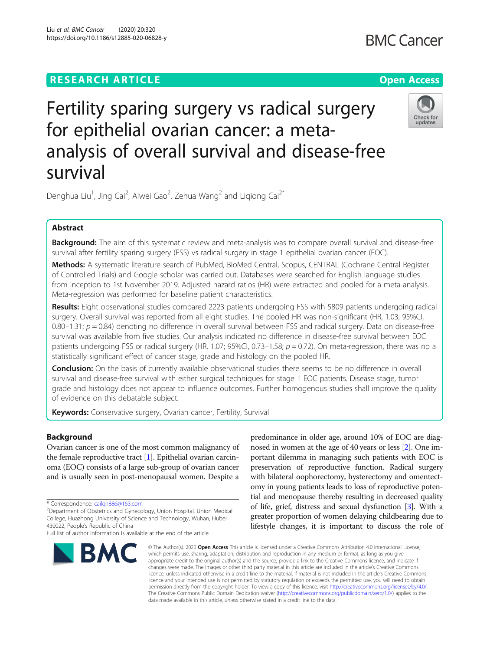# **RESEARCH ARTICLE Example 2014 12:30 The Contract of Contract ACCESS**

# Fertility sparing surgery vs radical surgery for epithelial ovarian cancer: a metaanalysis of overall survival and disease-free

Denghua Liu<sup>1</sup>, Jing Cai<sup>2</sup>, Aiwei Gao<sup>2</sup>, Zehua Wang<sup>2</sup> and Liqiong Cai<sup>2\*</sup>

# Abstract

survival

Background: The aim of this systematic review and meta-analysis was to compare overall survival and disease-free survival after fertility sparing surgery (FSS) vs radical surgery in stage 1 epithelial ovarian cancer (EOC).

Methods: A systematic literature search of PubMed, BioMed Central, Scopus, CENTRAL (Cochrane Central Register of Controlled Trials) and Google scholar was carried out. Databases were searched for English language studies from inception to 1st November 2019. Adjusted hazard ratios (HR) were extracted and pooled for a meta-analysis. Meta-regression was performed for baseline patient characteristics.

Results: Eight observational studies compared 2223 patients undergoing FSS with 5809 patients undergoing radical surgery. Overall survival was reported from all eight studies. The pooled HR was non-significant (HR, 1.03; 95%CI, 0.80–1.31;  $p = 0.84$ ) denoting no difference in overall survival between FSS and radical surgery. Data on disease-free survival was available from five studies. Our analysis indicated no difference in disease-free survival between EOC patients undergoing FSS or radical surgery (HR, 1.07; 95%CI, 0.73–1.58;  $p = 0.72$ ). On meta-regression, there was no a statistically significant effect of cancer stage, grade and histology on the pooled HR.

Conclusion: On the basis of currently available observational studies there seems to be no difference in overall survival and disease-free survival with either surgical techniques for stage 1 EOC patients. Disease stage, tumor grade and histology does not appear to influence outcomes. Further homogenous studies shall improve the quality of evidence on this debatable subject.

Keywords: Conservative surgery, Ovarian cancer, Fertility, Survival

# Background

Ovarian cancer is one of the most common malignancy of the female reproductive tract [\[1\]](#page-9-0). Epithelial ovarian carcinoma (EOC) consists of a large sub-group of ovarian cancer and is usually seen in post-menopausal women. Despite a

\* Correspondence: [cailq1886@163.com](mailto:cailq1886@163.com) <sup>2</sup>

Department of Obstetrics and Gynecology, Union Hospital, Union Medical College, Huazhong University of Science and Technology, Wuhan, Hubei

# nosed in women at the age of 40 years or less [[2\]](#page-9-0). One important dilemma in managing such patients with EOC is preservation of reproductive function. Radical surgery with bilateral oophorectomy, hysterectomy and omentectomy in young patients leads to loss of reproductive potential and menopause thereby resulting in decreased quality of life, grief, distress and sexual dysfunction [\[3\]](#page-9-0). With a greater proportion of women delaying childbearing due to lifestyle changes, it is important to discuss the role of

predominance in older age, around 10% of EOC are diag-

© The Author(s), 2020 **Open Access** This article is licensed under a Creative Commons Attribution 4.0 International License, which permits use, sharing, adaptation, distribution and reproduction in any medium or format, as long as you give appropriate credit to the original author(s) and the source, provide a link to the Creative Commons licence, and indicate if changes were made. The images or other third party material in this article are included in the article's Creative Commons licence, unless indicated otherwise in a credit line to the material. If material is not included in the article's Creative Commons licence and your intended use is not permitted by statutory regulation or exceeds the permitted use, you will need to obtain permission directly from the copyright holder. To view a copy of this licence, visit [http://creativecommons.org/licenses/by/4.0/.](http://creativecommons.org/licenses/by/4.0/) The Creative Commons Public Domain Dedication waiver [\(http://creativecommons.org/publicdomain/zero/1.0/](http://creativecommons.org/publicdomain/zero/1.0/)) applies to the data made available in this article, unless otherwise stated in a credit line to the data.

430022, People's Republic of China







Full list of author information is available at the end of the article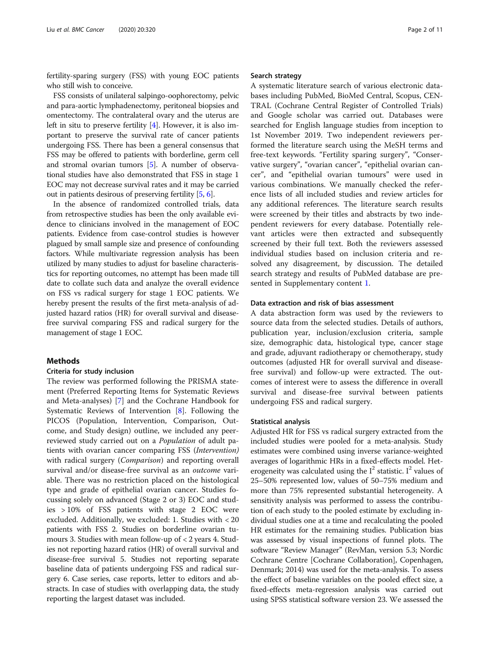fertility-sparing surgery (FSS) with young EOC patients who still wish to conceive.

FSS consists of unilateral salpingo-oophorectomy, pelvic and para-aortic lymphadenectomy, peritoneal biopsies and omentectomy. The contralateral ovary and the uterus are left in situ to preserve fertility [[4](#page-9-0)]. However, it is also important to preserve the survival rate of cancer patients undergoing FSS. There has been a general consensus that FSS may be offered to patients with borderline, germ cell and stromal ovarian tumors [[5\]](#page-9-0). A number of observational studies have also demonstrated that FSS in stage 1 EOC may not decrease survival rates and it may be carried out in patients desirous of preserving fertility [[5,](#page-9-0) [6](#page-9-0)].

In the absence of randomized controlled trials, data from retrospective studies has been the only available evidence to clinicians involved in the management of EOC patients. Evidence from case-control studies is however plagued by small sample size and presence of confounding factors. While multivariate regression analysis has been utilized by many studies to adjust for baseline characteristics for reporting outcomes, no attempt has been made till date to collate such data and analyze the overall evidence on FSS vs radical surgery for stage 1 EOC patients. We hereby present the results of the first meta-analysis of adjusted hazard ratios (HR) for overall survival and diseasefree survival comparing FSS and radical surgery for the management of stage 1 EOC.

## **Methods**

# Criteria for study inclusion

The review was performed following the PRISMA statement (Preferred Reporting Items for Systematic Reviews and Meta-analyses) [[7\]](#page-9-0) and the Cochrane Handbook for Systematic Reviews of Intervention [\[8](#page-9-0)]. Following the PICOS (Population, Intervention, Comparison, Outcome, and Study design) outline, we included any peerreviewed study carried out on a Population of adult patients with ovarian cancer comparing FSS (Intervention) with radical surgery (*Comparison*) and reporting overall survival and/or disease-free survival as an *outcome* variable. There was no restriction placed on the histological type and grade of epithelial ovarian cancer. Studies focussing solely on advanced (Stage 2 or 3) EOC and studies > 10% of FSS patients with stage 2 EOC were excluded. Additionally, we excluded: 1. Studies with < 20 patients with FSS 2. Studies on borderline ovarian tumours 3. Studies with mean follow-up of < 2 years 4. Studies not reporting hazard ratios (HR) of overall survival and disease-free survival 5. Studies not reporting separate baseline data of patients undergoing FSS and radical surgery 6. Case series, case reports, letter to editors and abstracts. In case of studies with overlapping data, the study reporting the largest dataset was included.

### Search strategy

A systematic literature search of various electronic databases including PubMed, BioMed Central, Scopus, CEN-TRAL (Cochrane Central Register of Controlled Trials) and Google scholar was carried out. Databases were searched for English language studies from inception to 1st November 2019. Two independent reviewers performed the literature search using the MeSH terms and free-text keywords. "Fertility sparing surgery", "Conservative surgery", "ovarian cancer", "epithelial ovarian cancer", and "epithelial ovarian tumours" were used in various combinations. We manually checked the reference lists of all included studies and review articles for any additional references. The literature search results were screened by their titles and abstracts by two independent reviewers for every database. Potentially relevant articles were then extracted and subsequently screened by their full text. Both the reviewers assessed individual studies based on inclusion criteria and resolved any disagreement, by discussion. The detailed search strategy and results of PubMed database are presented in Supplementary content [1](#page-9-0).

### Data extraction and risk of bias assessment

A data abstraction form was used by the reviewers to source data from the selected studies. Details of authors, publication year, inclusion/exclusion criteria, sample size, demographic data, histological type, cancer stage and grade, adjuvant radiotherapy or chemotherapy, study outcomes (adjusted HR for overall survival and diseasefree survival) and follow-up were extracted. The outcomes of interest were to assess the difference in overall survival and disease-free survival between patients undergoing FSS and radical surgery.

# Statistical analysis

Adjusted HR for FSS vs radical surgery extracted from the included studies were pooled for a meta-analysis. Study estimates were combined using inverse variance-weighted averages of logarithmic HRs in a fixed-effects model. Heterogeneity was calculated using the  $I^2$  statistic. I<sup>2</sup> values of 25–50% represented low, values of 50–75% medium and more than 75% represented substantial heterogeneity. A sensitivity analysis was performed to assess the contribution of each study to the pooled estimate by excluding individual studies one at a time and recalculating the pooled HR estimates for the remaining studies. Publication bias was assessed by visual inspections of funnel plots. The software "Review Manager" (RevMan, version 5.3; Nordic Cochrane Centre [Cochrane Collaboration], Copenhagen, Denmark; 2014) was used for the meta-analysis. To assess the effect of baseline variables on the pooled effect size, a fixed-effects meta-regression analysis was carried out using SPSS statistical software version 23. We assessed the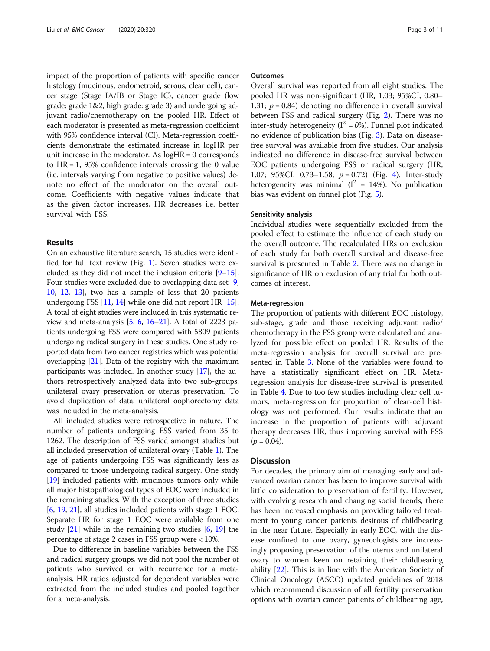impact of the proportion of patients with specific cancer histology (mucinous, endometroid, serous, clear cell), cancer stage (Stage IA/IB or Stage IC), cancer grade (low grade: grade 1&2, high grade: grade 3) and undergoing adjuvant radio/chemotherapy on the pooled HR. Effect of each moderator is presented as meta-regression coefficient with 95% confidence interval (CI). Meta-regression coefficients demonstrate the estimated increase in logHR per unit increase in the moderator. As  $logHR = 0$  corresponds to  $HR = 1$ , 95% confidence intervals crossing the 0 value (i.e. intervals varying from negative to positive values) denote no effect of the moderator on the overall outcome. Coefficients with negative values indicate that as the given factor increases, HR decreases i.e. better survival with FSS.

# Results

On an exhaustive literature search, 15 studies were identified for full text review (Fig. [1](#page-3-0)). Seven studies were excluded as they did not meet the inclusion criteria [\[9](#page-9-0)–[15](#page-9-0)]. Four studies were excluded due to overlapping data set [[9](#page-9-0), [10](#page-9-0), [12](#page-9-0), [13](#page-9-0)], two has a sample of less that 20 patients undergoing FSS [[11](#page-9-0), [14\]](#page-9-0) while one did not report HR [[15](#page-9-0)]. A total of eight studies were included in this systematic review and meta-analysis  $[5, 6, 16-21]$  $[5, 6, 16-21]$  $[5, 6, 16-21]$  $[5, 6, 16-21]$  $[5, 6, 16-21]$  $[5, 6, 16-21]$  $[5, 6, 16-21]$ . A total of 2223 patients undergoing FSS were compared with 5809 patients undergoing radical surgery in these studies. One study reported data from two cancer registries which was potential overlapping  $[21]$ . Data of the registry with the maximum participants was included. In another study [\[17\]](#page-9-0), the authors retrospectively analyzed data into two sub-groups: unilateral ovary preservation or uterus preservation. To avoid duplication of data, unilateral oophorectomy data was included in the meta-analysis.

All included studies were retrospective in nature. The number of patients undergoing FSS varied from 35 to 1262. The description of FSS varied amongst studies but all included preservation of unilateral ovary (Table [1\)](#page-4-0). The age of patients undergoing FSS was significantly less as compared to those undergoing radical surgery. One study [[19](#page-9-0)] included patients with mucinous tumors only while all major histopathological types of EOC were included in the remaining studies. With the exception of three studies [[6,](#page-9-0) [19](#page-9-0), [21](#page-9-0)], all studies included patients with stage 1 EOC. Separate HR for stage 1 EOC were available from one study [[21\]](#page-9-0) while in the remaining two studies [\[6,](#page-9-0) [19](#page-9-0)] the percentage of stage 2 cases in FSS group were < 10%.

Due to difference in baseline variables between the FSS and radical surgery groups, we did not pool the number of patients who survived or with recurrence for a metaanalysis. HR ratios adjusted for dependent variables were extracted from the included studies and pooled together for a meta-analysis.

#### **Outcomes**

Overall survival was reported from all eight studies. The pooled HR was non-significant (HR, 1.03; 95%CI, 0.80– 1.31;  $p = 0.84$ ) denoting no difference in overall survival between FSS and radical surgery (Fig. [2\)](#page-6-0). There was no inter-study heterogeneity ( $I^2 = 0$ %). Funnel plot indicated no evidence of publication bias (Fig. [3\)](#page-6-0). Data on diseasefree survival was available from five studies. Our analysis indicated no difference in disease-free survival between EOC patients undergoing FSS or radical surgery (HR, 1.07; 95%CI, 0.73-1.58;  $p = 0.72$ ) (Fig. [4\)](#page-7-0). Inter-study heterogeneity was minimal ( $I^2 = 14\%$ ). No publication bias was evident on funnel plot (Fig. [5](#page-7-0)).

## Sensitivity analysis

Individual studies were sequentially excluded from the pooled effect to estimate the influence of each study on the overall outcome. The recalculated HRs on exclusion of each study for both overall survival and disease-free survival is presented in Table [2.](#page-8-0) There was no change in significance of HR on exclusion of any trial for both outcomes of interest.

#### Meta-regression

The proportion of patients with different EOC histology, sub-stage, grade and those receiving adjuvant radio/ chemotherapy in the FSS group were calculated and analyzed for possible effect on pooled HR. Results of the meta-regression analysis for overall survival are presented in Table [3.](#page-8-0) None of the variables were found to have a statistically significant effect on HR. Metaregression analysis for disease-free survival is presented in Table [4](#page-8-0). Due to too few studies including clear cell tumors, meta-regression for proportion of clear-cell histology was not performed. Our results indicate that an increase in the proportion of patients with adjuvant therapy decreases HR, thus improving survival with FSS  $(p = 0.04)$ .

# **Discussion**

For decades, the primary aim of managing early and advanced ovarian cancer has been to improve survival with little consideration to preservation of fertility. However, with evolving research and changing social trends, there has been increased emphasis on providing tailored treatment to young cancer patients desirous of childbearing in the near future. Especially in early EOC, with the disease confined to one ovary, gynecologists are increasingly proposing preservation of the uterus and unilateral ovary to women keen on retaining their childbearing ability [\[22\]](#page-9-0). This is in line with the American Society of Clinical Oncology (ASCO) updated guidelines of 2018 which recommend discussion of all fertility preservation options with ovarian cancer patients of childbearing age,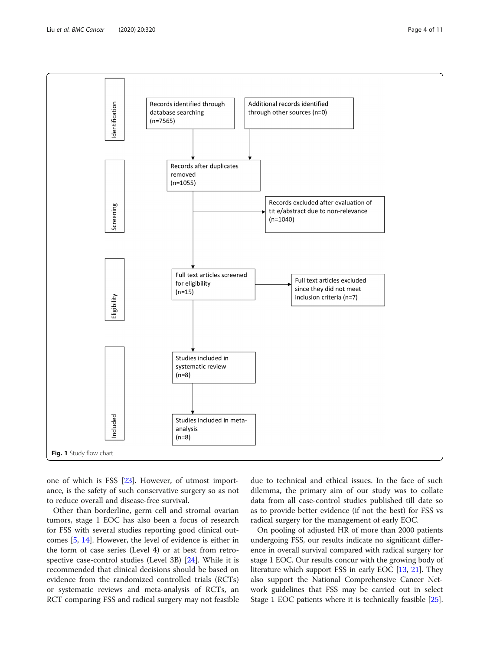<span id="page-3-0"></span>

one of which is FSS [[23\]](#page-9-0). However, of utmost importance, is the safety of such conservative surgery so as not to reduce overall and disease-free survival.

Other than borderline, germ cell and stromal ovarian tumors, stage 1 EOC has also been a focus of research for FSS with several studies reporting good clinical outcomes [[5,](#page-9-0) [14\]](#page-9-0). However, the level of evidence is either in the form of case series (Level 4) or at best from retrospective case-control studies (Level 3B) [[24](#page-9-0)]. While it is recommended that clinical decisions should be based on evidence from the randomized controlled trials (RCTs) or systematic reviews and meta-analysis of RCTs, an RCT comparing FSS and radical surgery may not feasible due to technical and ethical issues. In the face of such dilemma, the primary aim of our study was to collate data from all case-control studies published till date so as to provide better evidence (if not the best) for FSS vs radical surgery for the management of early EOC.

On pooling of adjusted HR of more than 2000 patients undergoing FSS, our results indicate no significant difference in overall survival compared with radical surgery for stage 1 EOC. Our results concur with the growing body of literature which support FSS in early EOC [[13](#page-9-0), [21\]](#page-9-0). They also support the National Comprehensive Cancer Network guidelines that FSS may be carried out in select Stage 1 EOC patients where it is technically feasible [[25](#page-9-0)].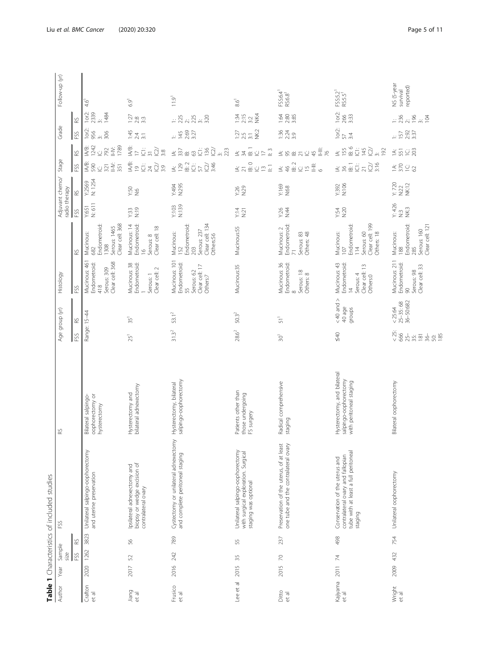<span id="page-4-0"></span>

| Author            | Year     | Sample |      | Table 1 Characteristics of included studies<br>FSS                                                                     | 89                                                                              | Age group (yr)                                                                                                                           | Histology                                                                                 |                                                                                                   |                   | Adjuvant chemo/                | Stage                                                                                                                                                                            |                                                                                                               | Grade                                         |                                                                          | Follow-up (yr)                      |
|-------------------|----------|--------|------|------------------------------------------------------------------------------------------------------------------------|---------------------------------------------------------------------------------|------------------------------------------------------------------------------------------------------------------------------------------|-------------------------------------------------------------------------------------------|---------------------------------------------------------------------------------------------------|-------------------|--------------------------------|----------------------------------------------------------------------------------------------------------------------------------------------------------------------------------|---------------------------------------------------------------------------------------------------------------|-----------------------------------------------|--------------------------------------------------------------------------|-------------------------------------|
|                   |          | size   |      |                                                                                                                        |                                                                                 |                                                                                                                                          |                                                                                           |                                                                                                   | radio therapy     |                                |                                                                                                                                                                                  |                                                                                                               |                                               |                                                                          |                                     |
|                   |          | FSS    | RS   |                                                                                                                        |                                                                                 | RS<br>FSS                                                                                                                                | FSS                                                                                       | 82                                                                                                | FSS               | 82                             | FSS                                                                                                                                                                              | 62                                                                                                            | FSS                                           | RS.                                                                      |                                     |
| Crafton<br>et al  | 2020     | 1262   | 3823 | Unilateral salpingo-oophorectomy<br>and uterine preservation                                                           | oophorectomy or<br>Bilateral salpingo-<br>hysterectomy                          | Range: 15-44                                                                                                                             | Mucinous: 461<br>Clear cell: 368<br>Endometroid:<br>Serous: 309<br>418                    | Clear cell: 368<br>Endometroid<br>Serous: 1465<br>Mucinous:<br>1308<br>682                        | N: 611<br>Y:651   | N: 1254<br>Y:2569              | IA/B:<br>590<br>N-li<br>351<br>321<br>Ü                                                                                                                                          | 1789<br>1242<br>IA/B:<br>792<br>NHY:<br>$\vec{u}$                                                             | 1or2:<br>956<br>306<br>$\dot{\gamma}$         | 4.6 <sup>1</sup><br>$1$ or $2$ :<br>2339<br>1484                         |                                     |
| Jiang<br>et al    | 2017     | 52     | 56   | biopsy or wedge excision of<br>Ipsilateral adnexectomy and<br>contralateral ovary                                      | bilateral adnexectomy<br>Hysterectomy and                                       | 35 <sup>1</sup><br>25 <sup>1</sup>                                                                                                       | Mucinous: 38<br>Endometroid:<br>Clear cell: 2<br>Serous: 1                                | Endometroid:<br>Mucinous: 14<br>Clear cell: 18<br>Serous: 8<br>$\leq$                             | N:19<br>Y:33      | 9.50<br>N.S                    | $\overset{\mathbb{E}}{\underline{\mathbb{R}}} \supseteq \overset{\mathbb{E}}{\underline{\mathbb{C}}}$<br>IQ)<br>3:9<br>$\overline{24}$                                           | IA/B:<br>$\widetilde{\omega}$<br>ΰ<br>3:8<br>$\geq$<br>$\overline{5}$                                         | 1:45<br>$\frac{24}{31}$                       | $6.9^1$<br>$\frac{2}{2}$<br>33<br>33                                     |                                     |
| Frusico<br>et al  | 2016 242 |        | 789  | Cystectomy or unilateral adnexectomy<br>and complete peritoneal staging                                                | salpingo-oophorectomy<br>Hysterectomy, bilateral                                | $53.1^2$<br>$31.3^{2}$                                                                                                                   | Mucinous: 101<br>Endometroid:<br>Clear cell: 17<br>Serous: 62<br>Others:7<br>55           | Clear cell: 134<br>Endometroid:<br>Serous: 237<br>Mucinous:<br>Others:56<br>152<br>203            | N:139<br>Y:103    | N:295<br>k494                  | IB: 2<br>3:46<br>$\dot{\overline{\cup}}$<br>$\leq \frac{29}{2}$<br>$\widetilde{\omega}$<br>57                                                                                    | $\frac{11}{2}$<br>īg<br>$\frac{3}{2}$<br>$\leq \frac{2}{30}$ $\approx$<br>63                                  | 2:69<br>3:27<br>145                           | $25$<br>$25$<br>$25$<br>$35$<br>$32$                                     | 11.9 <sup>1</sup>                   |
| Lee et al         | 2015     | 35     | 55   | Unilateral salpingo-oophorectomy<br>with surgical exploration. Surgical<br>staging was optional                        | Patients other than<br>those undergoing<br>FS surgery                           | $50.3^{2}$<br>$28.6^2$                                                                                                                   | Mucinous:35                                                                               | Mucinous:55                                                                                       | Y:14<br>N:21      | N:26<br>N:29                   | はい。<br>スページ<br>$\Xi$                                                                                                                                                             | $\Xi$<br>$\stackrel{2}{\equiv}$<br>$\leq \frac{1}{2}$<br>$\dot{\cup} \geq$                                    | $\frac{27}{2}$ 25 $\frac{27}{2}$              | $1:34$<br>2:15<br>3:2<br>NK:4                                            | $8.6^{\rm T}$                       |
| Ditto<br>et al    | 2015     | R      | 237  | Preservation of the uterus, of at least<br>one tube and the contralateral ovary                                        | Radical comprehensive<br>staging                                                | $\overline{51}$ <sup>1</sup><br>30 <sup>1</sup>                                                                                          | Mucinous: 36<br>Endometroid:<br>Serous: 18<br>Others: 8<br>$\infty$                       | Endometroid:<br>Mucinous: 2<br>Serous: 83<br>Others: 48<br>$\overline{2}$                         | Y:26<br>0:44      | Y:169<br>N:68                  | IB: 2<br>Ë<br>$\dot{\preceq}$<br>$\underline{\cup}$ $\underline{\cup}$<br>$\frac{4}{5}$<br>$\circ$                                                                               | Ë<br>茎<br>45<br>$\frac{8}{2}$<br>$\underline{\dot{\cup}}$<br>95<br>$\underline{\dot\varpi}$<br>$\overline{z}$ | 1:36<br>2:24<br>3:9                           | 1:64<br>$2.80$<br>$3.85$                                                 | FSS:6.4 <sup>1</sup><br>$RS:6.8^1$  |
| Kajiyama<br>et al | 2011     | 74     | 498  | tube with at least a full peritoneal<br>contralateral ovary and fallopian<br>Conservation of the uterus and<br>staging | Hysterectomy, and bilateral<br>salpingo-oophorectomy<br>with peritoneal staging | $<$ 40 and $>$<br>40 age<br>groups<br>640                                                                                                | Mucinous: 43<br>Endometroid:<br>Clear cell: 13<br>Others:0<br>Serous: 4<br>$\overline{4}$ | Clear cell: 199<br>Endometroid:<br>Serous: 60<br>Mucinous:<br>Others: 18<br>$\frac{4}{11}$<br>107 | Y:54<br>N:20      | Y392<br>N:106                  | $\overline{\mathbb{G}} \underset{\sim}{\scriptstyle\sim} \overline{\mathbb{Q}} \, \overline{\mathbb{Q}} \, \overline{\mathbb{G}}$<br>$\overline{B}$ : 1<br>$\leq$ $\frac{1}{20}$ | B.6<br>145<br>155<br>$\ddot{\overline{C}}$<br>$\widetilde{\omega}$<br>192<br>$\dot{\tilde{}}$                 | 1or2:<br>3:4<br>57                            | 1or2:<br>266                                                             | FSS:5.2 <sup>1</sup><br>RS:5.5      |
| Wright<br>et al   | 2009     | 432    | 754  | Unilateral oophorectomy                                                                                                | Bilateral oophorectomy                                                          | 25-35:68<br>36-50:682<br>< 25:64<br>$\frac{25}{66}$<br>$\frac{1}{25}$<br>$\frac{1}{25}$<br>$\frac{1}{25}$<br>$\frac{1}{25}$<br>$36 - 58$ | Mucinous: 211<br>Endometroid:<br>Clear cell: 33<br>Serous: 98<br>$\infty$                 | Endometroid:<br>Clear cell: 121<br>Serous: 160<br><b>Mucinous:</b><br>285<br>188                  | Y: 426<br>n<br>3€ | Y: 720<br><b>NK:12</b><br>N:22 | $\leq \underset{0}{\times} \underset{0}{\times} \underset{1}{\times} \underset{2}{\times}$                                                                                       | 14.51<br>$\frac{1}{2}$                                                                                        | $\frac{1}{5}$ 5 2 3 3 3 3 3 3 4 $\frac{1}{2}$ | $\frac{1}{2}$ $\frac{8}{2}$ $\frac{8}{2}$ $\frac{8}{2}$<br>$\frac{3}{2}$ | NS (5-year<br>survival<br>reported) |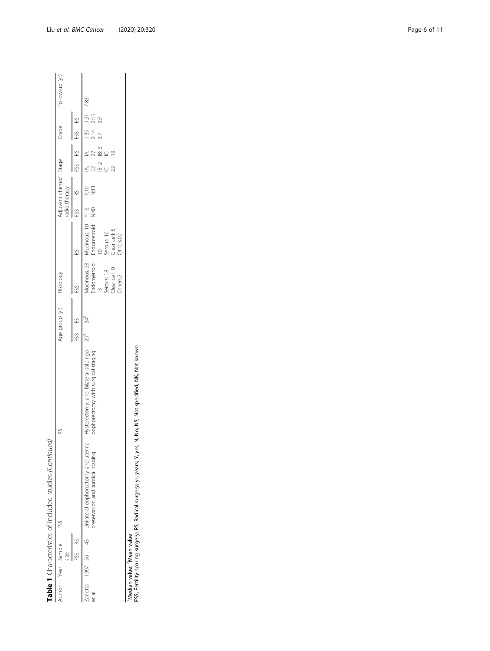|                        |        | Table 1 Characteristics of included studies (Continued)                                     |                                                                                             |                          |                                       |                                                                                                              |                                        |              |                          |                                                         |                 |                |
|------------------------|--------|---------------------------------------------------------------------------------------------|---------------------------------------------------------------------------------------------|--------------------------|---------------------------------------|--------------------------------------------------------------------------------------------------------------|----------------------------------------|--------------|--------------------------|---------------------------------------------------------|-----------------|----------------|
| Author Year Sample FSS | size   |                                                                                             | 82                                                                                          | Age group (yr) Histology |                                       |                                                                                                              | Adjuvant chemo/ Stage<br>radio therapy |              |                          | Grade                                                   |                 | Follow-up (yr) |
|                        | FSS RS |                                                                                             |                                                                                             |                          |                                       |                                                                                                              | FSS RS                                 |              |                          | FSS RS FSS RS                                           |                 |                |
| et al                  |        | Zanetta 1997 56 43 Unilateral oophorectomy and uterine<br>preservation and surgical staging | Hysterectomy, and bilateral salpingo- 29 <sup>2</sup><br>oophorectomy with surgical staging | 34 <sup>2</sup>          | Dear cell: 0<br>Serous: 18<br>thers:2 | Mucinous: 23 Mucinous: 10 Y:16<br>Endometroid: Endometroid: N:40<br>Clear cell: 5<br>Serous: 16<br>Others:02 |                                        | Y:10<br>N:33 | $32$ $27$<br>IB:3<br>B:2 | $A: \quad  A: \quad 1:35 \quad 1:21 \quad 7.83$<br>2:14 | $2:15$<br>$3:7$ |                |

-<br>Median value; <sup>2</sup>Mean value<br>FSS, Fertility sparing surgery; RS, Radical surgery; yr, years; Y, yes; N, No; NS, Not specified; NK, Not known FSS, Fertility sparing surgery; RS, Radical surgery; yr, years; Y, yes; N, No; NS, Not specified; NK, Not known 1Median value; 2Mean value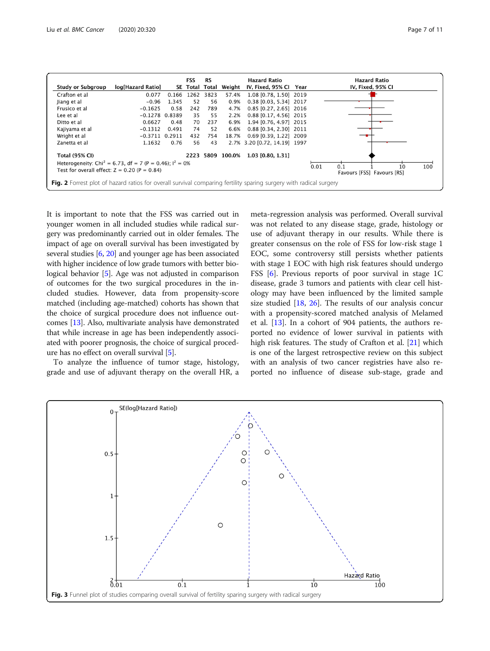<span id="page-6-0"></span>

|                                                                                                                    |                    |       | <b>FSS</b> | <b>RS</b> |                  | <b>Hazard Ratio</b>          |      | <b>Hazard Ratio</b>              |
|--------------------------------------------------------------------------------------------------------------------|--------------------|-------|------------|-----------|------------------|------------------------------|------|----------------------------------|
| <b>Study or Subgroup</b>                                                                                           | log[Hazard Ratio]  |       | SE Total   | Total     | Weight           | IV, Fixed, 95% CI            | Year | IV, Fixed, 95% CI                |
| Crafton et al                                                                                                      | 0.077              | 0.166 | 1262       | 3823      | 57.4%            | 1.08 [0.78, 1.50] 2019       |      |                                  |
| Jiang et al                                                                                                        | $-0.96$            | 1.345 | 52         | 56        | 0.9%             | 0.38 [0.03, 5.34] 2017       |      |                                  |
| Frusico et al                                                                                                      | $-0.1625$          | 0.58  | 242        | 789       | 4.7%             | 0.85 [0.27, 2.65] 2016       |      |                                  |
| Lee et al                                                                                                          | $-0.1278$ 0.8389   |       | 35         | 55        | 2.2%             | 0.88 [0.17, 4.56] 2015       |      |                                  |
| Ditto et al                                                                                                        | 0.6627             | 0.48  | 70         | 237       | 6.9%             | 1.94 [0.76, 4.97] 2015       |      |                                  |
| Kajiyama et al                                                                                                     | $-0.1312$          | 0.491 | 74         | 52        | 6.6%             | 0.88 [0.34, 2.30] 2011       |      |                                  |
| Wright et al                                                                                                       | $-0.3711$ $0.2911$ |       | 432        | 754       | 18.7%            | $0.69$ [0.39, 1.22] 2009     |      |                                  |
| Zanetta et al                                                                                                      | 1.1632             | 0.76  | 56         | 43        |                  | 2.7% 3.20 [0.72, 14.19] 1997 |      |                                  |
| <b>Total (95% CI)</b>                                                                                              |                    |       |            |           | 2223 5809 100.0% | 1.03 [0.80, 1.31]            |      |                                  |
| Heterogeneity: Chi <sup>2</sup> = 6.73, df = 7 (P = 0.46); $I^2 = 0\%$                                             |                    |       |            |           |                  |                              |      | 0.01<br>100<br>0.1               |
| Test for overall effect: $Z = 0.20$ (P = 0.84)                                                                     |                    |       |            |           |                  |                              |      | 10<br>Favours [FSS] Favours [RS] |
| Fig. 2 Forrest plot of hazard ratios for overall survival comparing fertility sparing surgery with radical surgery |                    |       |            |           |                  |                              |      |                                  |

It is important to note that the FSS was carried out in younger women in all included studies while radical surgery was predominantly carried out in older females. The impact of age on overall survival has been investigated by several studies [[6](#page-9-0), [20\]](#page-9-0) and younger age has been associated with higher incidence of low grade tumors with better biological behavior [\[5\]](#page-9-0). Age was not adjusted in comparison of outcomes for the two surgical procedures in the included studies. However, data from propensity-score matched (including age-matched) cohorts has shown that the choice of surgical procedure does not influence outcomes [\[13\]](#page-9-0). Also, multivariate analysis have demonstrated that while increase in age has been independently associated with poorer prognosis, the choice of surgical procedure has no effect on overall survival [\[5\]](#page-9-0).

To analyze the influence of tumor stage, histology, grade and use of adjuvant therapy on the overall HR, a meta-regression analysis was performed. Overall survival was not related to any disease stage, grade, histology or use of adjuvant therapy in our results. While there is greater consensus on the role of FSS for low-risk stage 1 EOC, some controversy still persists whether patients with stage 1 EOC with high risk features should undergo FSS [[6\]](#page-9-0). Previous reports of poor survival in stage 1C disease, grade 3 tumors and patients with clear cell histology may have been influenced by the limited sample size studied [\[18](#page-9-0), [26\]](#page-9-0). The results of our analysis concur with a propensity-scored matched analysis of Melamed et al. [\[13\]](#page-9-0). In a cohort of 904 patients, the authors reported no evidence of lower survival in patients with high risk features. The study of Crafton et al. [[21\]](#page-9-0) which is one of the largest retrospective review on this subject with an analysis of two cancer registries have also reported no influence of disease sub-stage, grade and

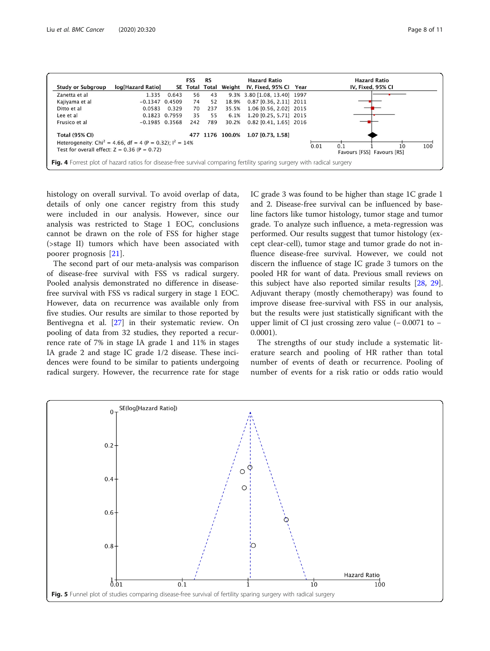<span id="page-7-0"></span>

histology on overall survival. To avoid overlap of data, details of only one cancer registry from this study were included in our analysis. However, since our analysis was restricted to Stage 1 EOC, conclusions cannot be drawn on the role of FSS for higher stage (>stage II) tumors which have been associated with poorer prognosis [[21\]](#page-9-0).

The second part of our meta-analysis was comparison of disease-free survival with FSS vs radical surgery. Pooled analysis demonstrated no difference in diseasefree survival with FSS vs radical surgery in stage 1 EOC. However, data on recurrence was available only from five studies. Our results are similar to those reported by Bentivegna et al. [\[27](#page-9-0)] in their systematic review. On pooling of data from 32 studies, they reported a recurrence rate of 7% in stage IA grade 1 and 11% in stages IA grade 2 and stage IC grade 1/2 disease. These incidences were found to be similar to patients undergoing radical surgery. However, the recurrence rate for stage IC grade 3 was found to be higher than stage 1C grade 1 and 2. Disease-free survival can be influenced by baseline factors like tumor histology, tumor stage and tumor grade. To analyze such influence, a meta-regression was performed. Our results suggest that tumor histology (except clear-cell), tumor stage and tumor grade do not influence disease-free survival. However, we could not discern the influence of stage IC grade 3 tumors on the pooled HR for want of data. Previous small reviews on this subject have also reported similar results [[28,](#page-9-0) [29](#page-9-0)]. Adjuvant therapy (mostly chemotherapy) was found to improve disease free-survival with FSS in our analysis, but the results were just statistically significant with the upper limit of CI just crossing zero value (− 0.0071 to − 0.0001).

The strengths of our study include a systematic literature search and pooling of HR rather than total number of events of death or recurrence. Pooling of number of events for a risk ratio or odds ratio would

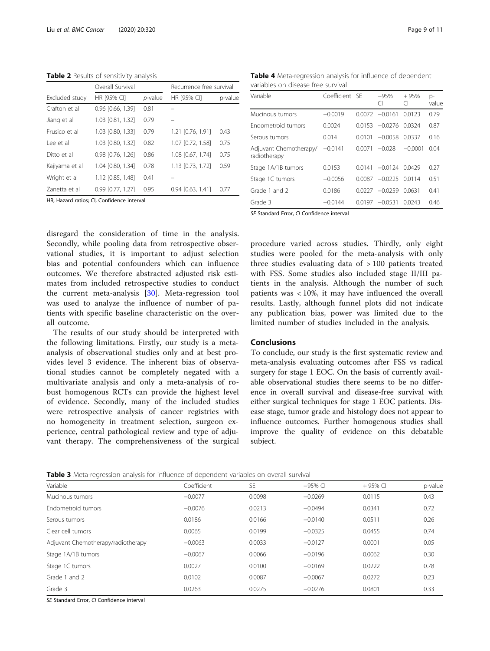<span id="page-8-0"></span>Table 2 Results of sensitivity analysis

|                | Overall Survival                          |         | Recurrence free survival |         |
|----------------|-------------------------------------------|---------|--------------------------|---------|
| Excluded study | HR [95% CI]                               | p-value | HR [95% CI]              | p-value |
| Crafton et al  | 0.96 [0.66, 1.39]                         | 0.81    |                          |         |
| Jiang et al    | 1.03 [0.81, 1.32]                         | 0.79    |                          |         |
| Frusico et al  | 1.03 [0.80, 1.33]                         | 0.79    | 1.21 [0.76, 1.91]        | 0.43    |
| Lee et al      | 1.03 [0.80, 1.32]                         | 0.82    | 1.07 [0.72, 1.58]        | 0.75    |
| Ditto et al    | $0.98$ $[0.76, 1.26]$                     | 0.86    | 1.08 [0.67, 1.74]        | 0.75    |
| Kajiyama et al | 1.04 [0.80, 1.34]                         | 0.78    | 1.13 [0.73, 1.72]        | 0.59    |
| Wright et al   | 1.12 [0.85, 1.48]                         | 0.41    |                          |         |
| Zanetta et al  | $0.99$ $[0.77, 1.27]$                     | 0.95    | $0.94$ $[0.63, 1.41]$    | 0.77    |
|                | HR. Hazard ratios: CL Confidence interval |         |                          |         |

Table 4 Meta-regression analysis for influence of dependent variables on disease free survival

| Variable                               | Coefficient SF |        | $-95%$<br>CI      | $+95%$<br>Π | p-<br>value |
|----------------------------------------|----------------|--------|-------------------|-------------|-------------|
| Mucinous tumors                        | $-0.0019$      | 0.0072 | $-0.0161$         | 0.0123      | 0.79        |
| Endometroid tumors                     | 0.0024         |        | $0.0153 - 0.0276$ | 0.0324      | 0.87        |
| Serous tumors                          | 0.014          | 0.0101 | $-0.0058$         | 0.0337      | 0.16        |
| Adjuvant Chemotherapy/<br>radiotherapy | $-0.0141$      | 0.0071 | $-0.028$          | $-0.0001$   | 0.04        |
| Stage 1A/1B tumors                     | 0.0153         | 00141  | $-0.0124$         | 0.0429      | 0.27        |
| Stage 1C tumors                        | $-0.0056$      | 0.0087 | $-0.0225$ 0.0114  |             | 0.51        |
| Grade 1 and 2                          | 0.0186         |        | $0.0227 - 0.0259$ | 0.0631      | 0.41        |
| Grade 3                                | $-0.0144$      |        | $0.0197 - 0.0531$ | 0.0243      | 0.46        |
| _ _ _ _                                |                |        |                   |             |             |

SE Standard Error, CI Confidence interval

disregard the consideration of time in the analysis. Secondly, while pooling data from retrospective observational studies, it is important to adjust selection bias and potential confounders which can influence outcomes. We therefore abstracted adjusted risk estimates from included retrospective studies to conduct the current meta-analysis [[30\]](#page-10-0). Meta-regression tool was used to analyze the influence of number of patients with specific baseline characteristic on the overall outcome.

The results of our study should be interpreted with the following limitations. Firstly, our study is a metaanalysis of observational studies only and at best provides level 3 evidence. The inherent bias of observational studies cannot be completely negated with a multivariate analysis and only a meta-analysis of robust homogenous RCTs can provide the highest level of evidence. Secondly, many of the included studies were retrospective analysis of cancer registries with no homogeneity in treatment selection, surgeon experience, central pathological review and type of adjuvant therapy. The comprehensiveness of the surgical procedure varied across studies. Thirdly, only eight studies were pooled for the meta-analysis with only three studies evaluating data of  $>100$  patients treated with FSS. Some studies also included stage II/III patients in the analysis. Although the number of such patients was < 10%, it may have influenced the overall results. Lastly, although funnel plots did not indicate any publication bias, power was limited due to the limited number of studies included in the analysis.

### Conclusions

To conclude, our study is the first systematic review and meta-analysis evaluating outcomes after FSS vs radical surgery for stage 1 EOC. On the basis of currently available observational studies there seems to be no difference in overall survival and disease-free survival with either surgical techniques for stage 1 EOC patients. Disease stage, tumor grade and histology does not appear to influence outcomes. Further homogenous studies shall improve the quality of evidence on this debatable subject.

Table 3 Meta-regression analysis for influence of dependent variables on overall survival

| Variable                           | Coefficient | <b>SE</b> | $-95%$ CI | $+95%$ CI | p-value |
|------------------------------------|-------------|-----------|-----------|-----------|---------|
|                                    |             |           |           |           |         |
| Mucinous tumors                    | $-0.0077$   | 0.0098    | $-0.0269$ | 0.0115    | 0.43    |
| Endometroid tumors                 | $-0.0076$   | 0.0213    | $-0.0494$ | 0.0341    | 0.72    |
| Serous tumors                      | 0.0186      | 0.0166    | $-0.0140$ | 0.0511    | 0.26    |
| Clear cell tumors                  | 0.0065      | 0.0199    | $-0.0325$ | 0.0455    | 0.74    |
| Adjuvant Chemotherapy/radiotherapy | $-0.0063$   | 0.0033    | $-0.0127$ | 0.0001    | 0.05    |
| Stage 1A/1B tumors                 | $-0.0067$   | 0.0066    | $-0.0196$ | 0.0062    | 0.30    |
| Stage 1C tumors                    | 0.0027      | 0.0100    | $-0.0169$ | 0.0222    | 0.78    |
| Grade 1 and 2                      | 0.0102      | 0.0087    | $-0.0067$ | 0.0272    | 0.23    |
| Grade 3                            | 0.0263      | 0.0275    | $-0.0276$ | 0.0801    | 0.33    |

SE Standard Error, CI Confidence interval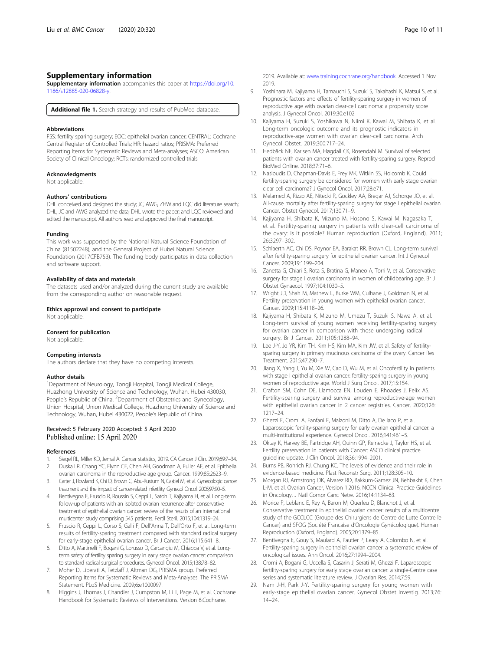# <span id="page-9-0"></span>Supplementary information

Supplementary information accompanies this paper at [https://doi.org/10.](https://doi.org/10.1186/s12885-020-06828-y) [1186/s12885-020-06828-y](https://doi.org/10.1186/s12885-020-06828-y).

Additional file 1. Search strategy and results of PubMed database.

#### Abbreviations

FSS: fertility sparing surgery; EOC: epithelial ovarian cancer; CENTRAL: Cochrane Central Register of Controlled Trials; HR: hazard ratios; PRISMA: Preferred Reporting Items for Systematic Reviews and Meta-analyses; ASCO: American Society of Clinical Oncology; RCTs: randomized controlled trials

#### Acknowledgments

Not applicable.

#### Authors' contributions

DHL conceived and designed the study; JC, AWG, ZHW and LOC did literature search; DHL, JC and AWG analyzed the data; DHL wrote the paper; and LQC reviewed and edited the manuscript. All authors read and approved the final manuscript.

#### Funding

This work was supported by the National Natural Science Foundation of China (81502248), and the General Project of Hubei Natural Science Foundation (2017CFB753). The funding body participates in data collection and software support.

#### Availability of data and materials

The datasets used and/or analyzed during the current study are available from the corresponding author on reasonable request.

#### Ethics approval and consent to participate

Not applicable.

### Consent for publication

Not applicable.

#### Competing interests

The authors declare that they have no competing interests.

#### Author details

<sup>1</sup>Department of Neurology, Tongji Hospital, Tongji Medical College, Huazhong University of Science and Technology, Wuhan, Hubei 430030, People's Republic of China. <sup>2</sup>Department of Obstetrics and Gynecology, Union Hospital, Union Medical College, Huazhong University of Science and Technology, Wuhan, Hubei 430022, People's Republic of China.

### Received: 5 February 2020 Accepted: 5 April 2020 Published online: 15 April 2020

#### References

- Siegel RL, Miller KD, Jemal A. Cancer statistics, 2019. CA Cancer J Clin. 2019;69:7-34. 2. Duska LR, Chang YC, Flynn CE, Chen AH, Goodman A, Fuller AF, et al. Epithelial
- ovarian carcinoma in the reproductive age group. Cancer. 1999;85:2623–9. 3. Carter J, Rowland K, Chi D, Brown C, Abu-Rustum N, Castiel M, et al. Gynecologic cancer
- treatment and the impact of cancer-related infertility. Gynecol Oncol. 2005;97:90–5. 4. Bentivegna E, Fruscio R, Roussin S, Ceppi L, Satoh T, Kajiyama H, et al. Long-term follow-up of patients with an isolated ovarian recurrence after conservative treatment of epithelial ovarian cancer: review of the results of an international multicenter study comprising 545 patients. Fertil Steril. 2015;104:1319–24.
- 5. Fruscio R, Ceppi L, Corso S, Galli F, Dell'Anna T, Dell'Orto F, et al. Long-term results of fertility-sparing treatment compared with standard radical surgery for early-stage epithelial ovarian cancer. Br J Cancer. 2016;115:641–8.
- 6. Ditto A, Martinelli F, Bogani G, Lorusso D, Carcangiu M, Chiappa V, et al. Longterm safety of fertility sparing surgery in early stage ovarian cancer: comparison to standard radical surgical procedures. Gynecol Oncol. 2015;138:78–82.
- 7. Moher D, Liberati A, Tetzlaff J, Altman DG, PRISMA group. Preferred Reporting Items for Systematic Reviews and Meta-Analyses: The PRISMA Statement. PLoS Medicine. 2009;6:e1000097.
- 8. Higgins J, Thomas J, Chandler J, Cumpston M, Li T, Page M, et al. Cochrane Handbook for Systematic Reviews of Interventions. Version 6.Cochrane.

2019. Available at: [www.training.cochrane.org/handbook](https://www.training.cochrane.org/handbook). Accessed 1 Nov 2019.

- 9. Yoshihara M, Kajiyama H, Tamauchi S, Suzuki S, Takahashi K, Matsui S, et al. Prognostic factors and effects of fertility-sparing surgery in women of reproductive age with ovarian clear-cell carcinoma: a propensity score analysis. J Gynecol Oncol. 2019;30:e102.
- 10. Kajiyama H, Suzuki S, Yoshikawa N, Niimi K, Kawai M, Shibata K, et al. Long-term oncologic outcome and its prognostic indicators in reproductive-age women with ovarian clear-cell carcinoma. Arch Gynecol Obstet. 2019;300:717–24.
- 11. Hedbäck NE, Karlsen MA, Høgdall CK, Rosendahl M. Survival of selected patients with ovarian cancer treated with fertility-sparing surgery. Reprod BioMed Online. 2018;37:71–6.
- 12. Nasioudis D, Chapman-Davis E, Frey MK, Witkin SS, Holcomb K. Could fertility-sparing surgery be considered for women with early stage ovarian clear cell carcinoma? J Gynecol Oncol. 2017;28:e71.
- 13. Melamed A, Rizzo AE, Nitecki R, Gockley AA, Bregar AJ, Schorge JO, et al. All-cause mortality after fertility-sparing surgery for stage I epithelial ovarian Cancer. Obstet Gynecol. 2017;130:71–9.
- 14. Kajiyama H, Shibata K, Mizuno M, Hosono S, Kawai M, Nagasaka T, et al. Fertility-sparing surgery in patients with clear-cell carcinoma of the ovary: is it possible? Human reproduction (Oxford, England). 2011; 26:3297–302.
- 15. Schlaerth AC, Chi DS, Poynor EA, Barakat RR, Brown CL. Long-term survival after fertility-sparing surgery for epithelial ovarian cancer. Int J Gynecol Cancer. 2009;19:1199–204.
- 16. Zanetta G, Chiari S, Rota S, Bratina G, Maneo A, Torri V, et al. Conservative surgery for stage I ovarian carcinoma in women of childbearing age. Br J Obstet Gynaecol. 1997;104:1030–5.
- 17. Wright JD, Shah M, Mathew L, Burke WM, Culhane J, Goldman N, et al. Fertility preservation in young women with epithelial ovarian cancer. Cancer. 2009;115:4118–26.
- 18. Kajiyama H, Shibata K, Mizuno M, Umezu T, Suzuki S, Nawa A, et al. Long-term survival of young women receiving fertility-sparing surgery for ovarian cancer in comparison with those undergoing radical surgery. Br J Cancer. 2011;105:1288–94.
- 19. Lee J-Y, Jo YR, Kim TH, Kim HS, Kim MA, Kim JW, et al. Safety of fertilitysparing surgery in primary mucinous carcinoma of the ovary. Cancer Res Treatment. 2015;47:290–7.
- 20. Jiang X, Yang J, Yu M, Xie W, Cao D, Wu M, et al. Oncofertility in patients with stage I epithelial ovarian cancer: fertility-sparing surgery in young women of reproductive age. World J Surg Oncol. 2017;15:154.
- 21. Crafton SM, Cohn DE, Llamocca EN, Louden E, Rhoades J, Felix AS. Fertility-sparing surgery and survival among reproductive-age women with epithelial ovarian cancer in 2 cancer registries. Cancer. 2020;126: 1217–24.
- 22. Ghezzi F, Cromi A, Fanfani F, Malzoni M, Ditto A, De Iaco P, et al. Laparoscopic fertility-sparing surgery for early ovarian epithelial cancer: a multi-institutional experience. Gynecol Oncol. 2016;141:461–5.
- 23. Oktay K, Harvey BE, Partridge AH, Quinn GP, Reinecke J, Taylor HS, et al. Fertility preservation in patients with Cancer: ASCO clinical practice guideline update. J Clin Oncol. 2018;36:1994–2001.
- 24. Burns PB, Rohrich RJ, Chung KC. The levels of evidence and their role in evidence-based medicine. Plast Reconstr Surg. 2011;128:305–10.
- 25. Morgan RJ, Armstrong DK, Alvarez RD, Bakkum-Gamez JN, Behbakht K, Chen L-M, et al. Ovarian Cancer, Version 1.2016, NCCN Clinical Practice Guidelines in Oncology. J Natl Compr Canc Netw. 2016;14:1134–63.
- 26. Morice P, Leblanc E, Rey A, Baron M, Querleu D, Blanchot J, et al. Conservative treatment in epithelial ovarian cancer: results of a multicentre study of the GCCLCC (Groupe des Chirurgiens de Centre de Lutte Contre le Cancer) and SFOG (Société Francaise d'Oncologie Gynécologique). Human Reproduction (Oxford, England). 2005;20:1379–85.
- 27. Bentivegna E, Gouy S, Maulard A, Pautier P, Leary A, Colombo N, et al. Fertility-sparing surgery in epithelial ovarian cancer: a systematic review of oncological issues. Ann Oncol. 2016;27:1994–2004.
- 28. Cromi A, Bogani G, Uccella S, Casarin J, Serati M, Ghezzi F. Laparoscopic fertility-sparing surgery for early stage ovarian cancer: a single-Centre case series and systematic literature review. J Ovarian Res. 2014;7:59.
- 29. Nam J-H, Park J-Y. Fertility-sparing surgery for young women with early-stage epithelial ovarian cancer. Gynecol Obstet Investig. 2013;76: 14–24.